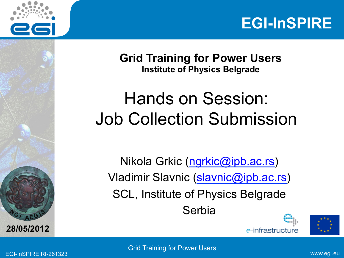



**Grid Training for Power Users Institute of Physics Belgrade** 

## Hands on Session: Job Collection Submission

Nikola Grkic (ngrkic@ipb.ac.rs) Vladimir Slavnic (slavnic@ipb.ac.rs) SCL, Institute of Physics Belgrade **Serbia** 





**A E <sup>G</sup>**

**28/05/2012**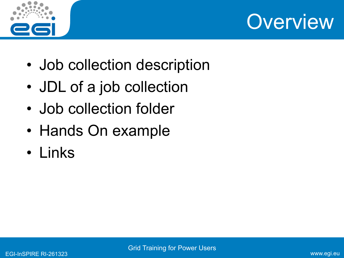



- Job collection description
- JDL of a job collection
- Job collection folder
- Hands On example
- Links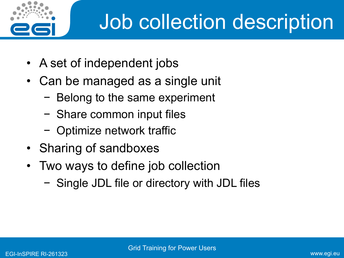

## Job collection description

- A set of independent jobs
- Can be managed as a single unit
	- − Belong to the same experiment
	- − Share common input files
	- − Optimize network traffic
- Sharing of sandboxes
- Two ways to define job collection
	- − Single JDL file or directory with JDL files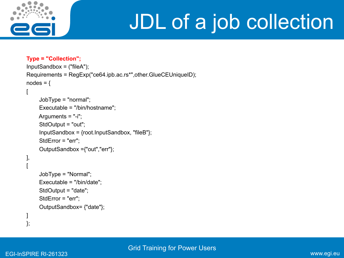

## JDL of a job collection

```
Type = "Collection"; 
InputSandbox = ("fileA"); 
Requirements = RegExp("ce64.ipb.ac.rs*",other.GlueCEUniqueID); 
nodes ={
[ 
      JobType = "normal"; 
      Executable = "/bin/hostname"; 
    Arguments = "-i";
      StdOutput = "out"; 
      InputSandbox = {root.InputSandbox, "fileB"}; 
      StdError = "err"; 
      OutputSandbox ={"out","err"}; 
], 
[ 
      JobType = "Normal"; 
      Executable = "/bin/date"; 
      StdOutput = "date"; 
      StdError = "err"; 
      OutputSandbox= {"date"}; 
] 
};
```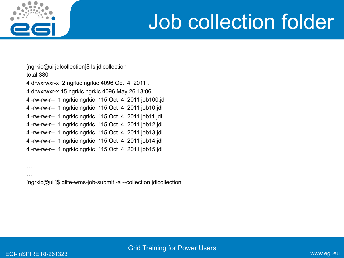

## Job collection folder

[ngrkic@ui jdlcollection]\$ ls jdlcollection total 380

4 drwxrwxr-x 2 ngrkic ngrkic 4096 Oct 4 2011 .

4 drwxrwxr-x 15 ngrkic ngrkic 4096 May 26 13:06 ..

4 -rw-rw-r-- 1 ngrkic ngrkic 115 Oct 4 2011 job100.jdl

4 -rw-rw-r-- 1 ngrkic ngrkic 115 Oct 4 2011 job10.jdl

4 -rw-rw-r-- 1 ngrkic ngrkic 115 Oct 4 2011 job11.jdl

4 -rw-rw-r-- 1 ngrkic ngrkic 115 Oct 4 2011 job12.jdl

4 -rw-rw-r-- 1 ngrkic ngrkic 115 Oct 4 2011 job13.jdl

4 -rw-rw-r-- 1 ngrkic ngrkic 115 Oct 4 2011 job14.jdl

4 -rw-rw-r-- 1 ngrkic ngrkic 115 Oct 4 2011 job15.jdl

…

…

…

[ngrkic@ui ]\$ glite-wms-job-submit -a --collection jdlcollection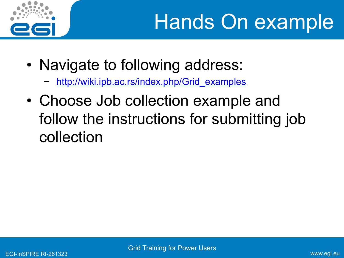

- Navigate to following address:
	- http://wiki.ipb.ac.rs/index.php/Grid\_examples
- Choose Job collection example and follow the instructions for submitting job collection